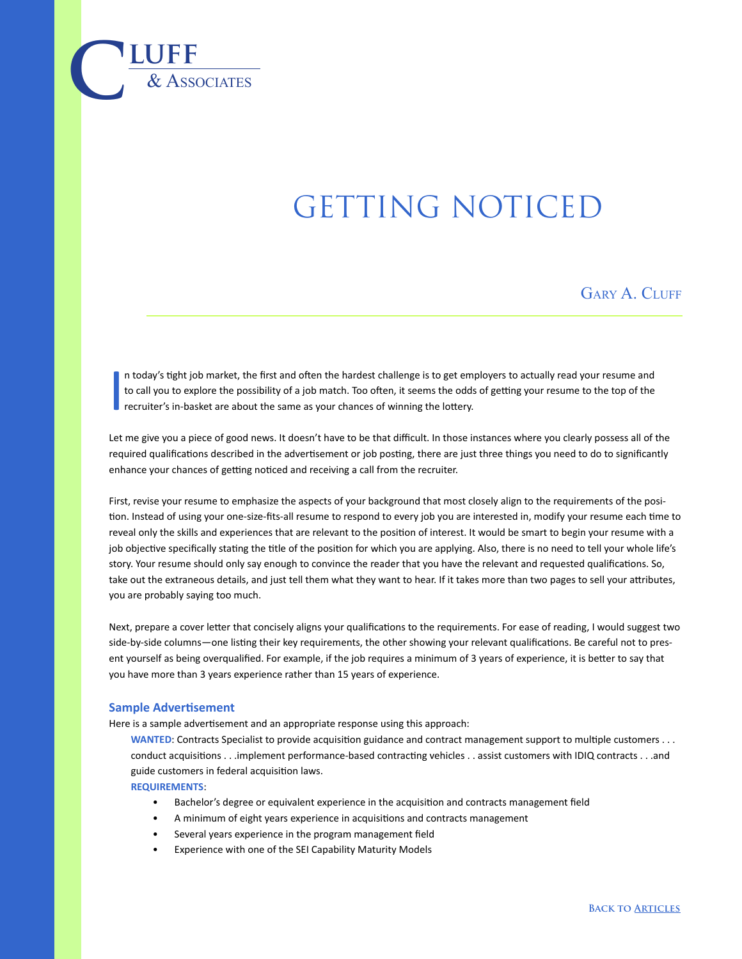## GETTING NOTICED

GARY A. CLUFF

I n today's tight job market, the first and often the hardest challenge is to get employers to actually read your resume and to call you to explore the possibility of a job match. Too often, it seems the odds of getting your resume to the top of the recruiter's in-basket are about the same as your chances of winning the lottery.

Let me give you a piece of good news. It doesn't have to be that difficult. In those instances where you clearly possess all of the required qualifications described in the advertisement or job posting, there are just three things you need to do to significantly enhance your chances of getting noticed and receiving a call from the recruiter.

First, revise your resume to emphasize the aspects of your background that most closely align to the requirements of the position. Instead of using your one-size-fits-all resume to respond to every job you are interested in, modify your resume each time to reveal only the skills and experiences that are relevant to the position of interest. It would be smart to begin your resume with a job objective specifically stating the title of the position for which you are applying. Also, there is no need to tell your whole life's story. Your resume should only say enough to convince the reader that you have the relevant and requested qualifications. So, take out the extraneous details, and just tell them what they want to hear. If it takes more than two pages to sell your attributes, you are probably saying too much.

Next, prepare a cover letter that concisely aligns your qualifications to the requirements. For ease of reading, I would suggest two side-by-side columns—one listing their key requirements, the other showing your relevant qualifications. Be careful not to present yourself as being overqualified. For example, if the job requires a minimum of 3 years of experience, it is better to say that you have more than 3 years experience rather than 15 years of experience.

## **Sample Advertisement**

 $\overline{\text{LUFF}}$  **luff** 

Here is a sample advertisement and an appropriate response using this approach:

**WANTED**: Contracts Specialist to provide acquisition guidance and contract management support to multiple customers . . . conduct acquisitions . . .implement performance-based contracting vehicles . . assist customers with IDIQ contracts . . .and guide customers in federal acquisition laws.

**REQUIREMENTS**:

- Bachelor's degree or equivalent experience in the acquisition and contracts management field
- A minimum of eight years experience in acquisitions and contracts management
- Several years experience in the program management field
- Experience with one of the SEI Capability Maturity Models